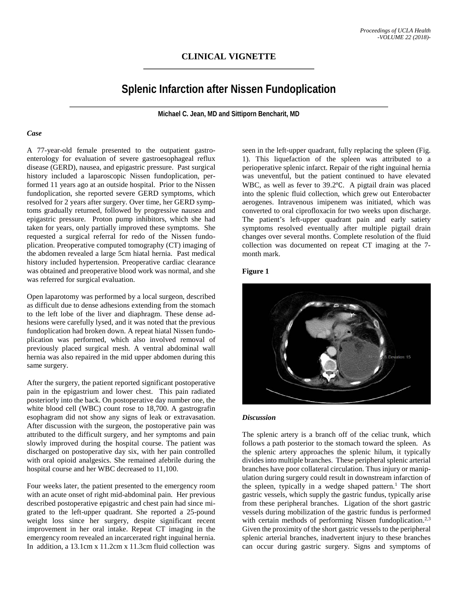# **Splenic Infarction after Nissen Fundoplication**

**Michael C. Jean, MD and Sittiporn Bencharit, MD**

#### *Case*

A 77-year-old female presented to the outpatient gastroenterology for evaluation of severe gastroesophageal reflux disease (GERD), nausea, and epigastric pressure. Past surgical history included a laparoscopic Nissen fundoplication, performed 11 years ago at an outside hospital. Prior to the Nissen fundoplication, she reported severe GERD symptoms, which resolved for 2 years after surgery. Over time, her GERD symptoms gradually returned, followed by progressive nausea and epigastric pressure. Proton pump inhibitors, which she had taken for years, only partially improved these symptoms. She requested a surgical referral for redo of the Nissen fundoplication. Preoperative computed tomography (CT) imaging of the abdomen revealed a large 5cm hiatal hernia. Past medical history included hypertension. Preoperative cardiac clearance was obtained and preoperative blood work was normal, and she was referred for surgical evaluation.

Open laparotomy was performed by a local surgeon, described as difficult due to dense adhesions extending from the stomach to the left lobe of the liver and diaphragm. These dense adhesions were carefully lysed, and it was noted that the previous fundoplication had broken down. A repeat hiatal Nissen fundoplication was performed, which also involved removal of previously placed surgical mesh. A ventral abdominal wall hernia was also repaired in the mid upper abdomen during this same surgery.

After the surgery, the patient reported significant postoperative pain in the epigastrium and lower chest. This pain radiated posteriorly into the back. On postoperative day number one, the white blood cell (WBC) count rose to 18,700. A gastrografin esophagram did not show any signs of leak or extravasation. After discussion with the surgeon, the postoperative pain was attributed to the difficult surgery, and her symptoms and pain slowly improved during the hospital course. The patient was discharged on postoperative day six, with her pain controlled with oral opioid analgesics. She remained afebrile during the hospital course and her WBC decreased to 11,100.

Four weeks later, the patient presented to the emergency room with an acute onset of right mid-abdominal pain. Her previous described postoperative epigastric and chest pain had since migrated to the left-upper quadrant. She reported a 25-pound weight loss since her surgery, despite significant recent improvement in her oral intake. Repeat CT imaging in the emergency room revealed an incarcerated right inguinal hernia. In addition, a 13.1cm x 11.2cm x 11.3cm fluid collection was

seen in the left-upper quadrant, fully replacing the spleen (Fig. 1). This liquefaction of the spleen was attributed to a perioperative splenic infarct. Repair of the right inguinal hernia was uneventful, but the patient continued to have elevated WBC, as well as fever to 39.2℃. A pigtail drain was placed into the splenic fluid collection, which grew out Enterobacter aerogenes. Intravenous imipenem was initiated, which was converted to oral ciprofloxacin for two weeks upon discharge. The patient's left-upper quadrant pain and early satiety symptoms resolved eventually after multiple pigtail drain changes over several months. Complete resolution of the fluid collection was documented on repeat CT imaging at the 7 month mark.

## **Figure 1**



#### *Discussion*

The splenic artery is a branch off of the celiac trunk, which follows a path posterior to the stomach toward the spleen. As the splenic artery approaches the splenic hilum, it typically divides into multiple branches. These peripheral splenic arterial branches have poor collateral circulation. Thus injury or manipulation during surgery could result in downstream infarction of the spleen, typically in a wedge shaped pattern. <sup>1</sup> The short gastric vessels, which supply the gastric fundus, typically arise from these peripheral branches. Ligation of the short gastric vessels during mobilization of the gastric fundus is performed with certain methods of performing Nissen fundoplication.<sup>2,3</sup> Given the proximity of the short gastric vessels to the peripheral splenic arterial branches, inadvertent injury to these branches can occur during gastric surgery. Signs and symptoms of